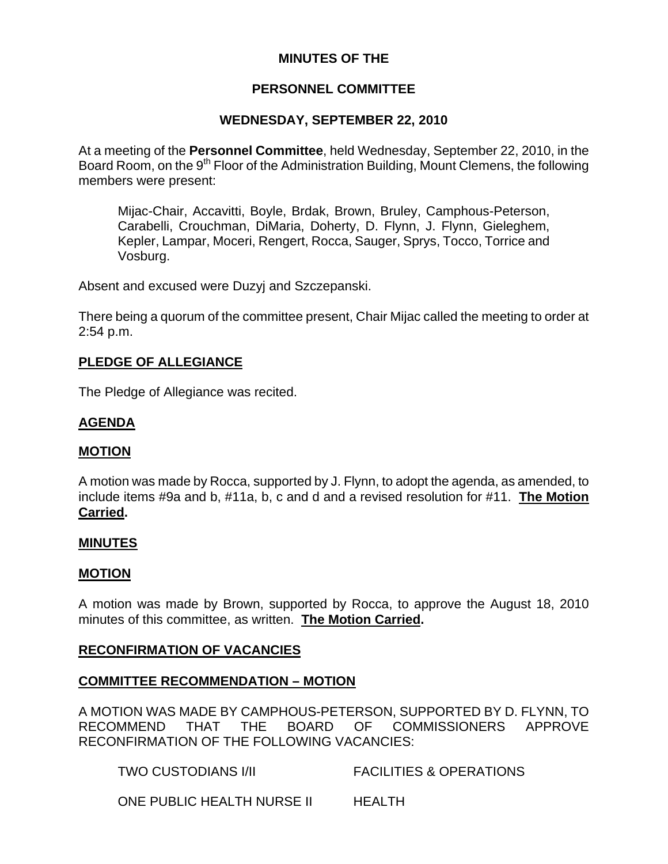# **MINUTES OF THE**

# **PERSONNEL COMMITTEE**

## **WEDNESDAY, SEPTEMBER 22, 2010**

At a meeting of the **Personnel Committee**, held Wednesday, September 22, 2010, in the Board Room, on the 9<sup>th</sup> Floor of the Administration Building, Mount Clemens, the following members were present:

Mijac-Chair, Accavitti, Boyle, Brdak, Brown, Bruley, Camphous-Peterson, Carabelli, Crouchman, DiMaria, Doherty, D. Flynn, J. Flynn, Gieleghem, Kepler, Lampar, Moceri, Rengert, Rocca, Sauger, Sprys, Tocco, Torrice and Vosburg.

Absent and excused were Duzyj and Szczepanski.

There being a quorum of the committee present, Chair Mijac called the meeting to order at 2:54 p.m.

#### **PLEDGE OF ALLEGIANCE**

The Pledge of Allegiance was recited.

## **AGENDA**

#### **MOTION**

A motion was made by Rocca, supported by J. Flynn, to adopt the agenda, as amended, to include items #9a and b, #11a, b, c and d and a revised resolution for #11. **The Motion Carried.** 

#### **MINUTES**

#### **MOTION**

A motion was made by Brown, supported by Rocca, to approve the August 18, 2010 minutes of this committee, as written. **The Motion Carried.** 

#### **RECONFIRMATION OF VACANCIES**

#### **COMMITTEE RECOMMENDATION – MOTION**

A MOTION WAS MADE BY CAMPHOUS-PETERSON, SUPPORTED BY D. FLYNN, TO RECOMMEND THAT THE BOARD OF COMMISSIONERS APPROVE RECONFIRMATION OF THE FOLLOWING VACANCIES:

TWO CUSTODIANS I/II FACILITIES & OPERATIONS

ONE PUBLIC HEALTH NURSE II HEALTH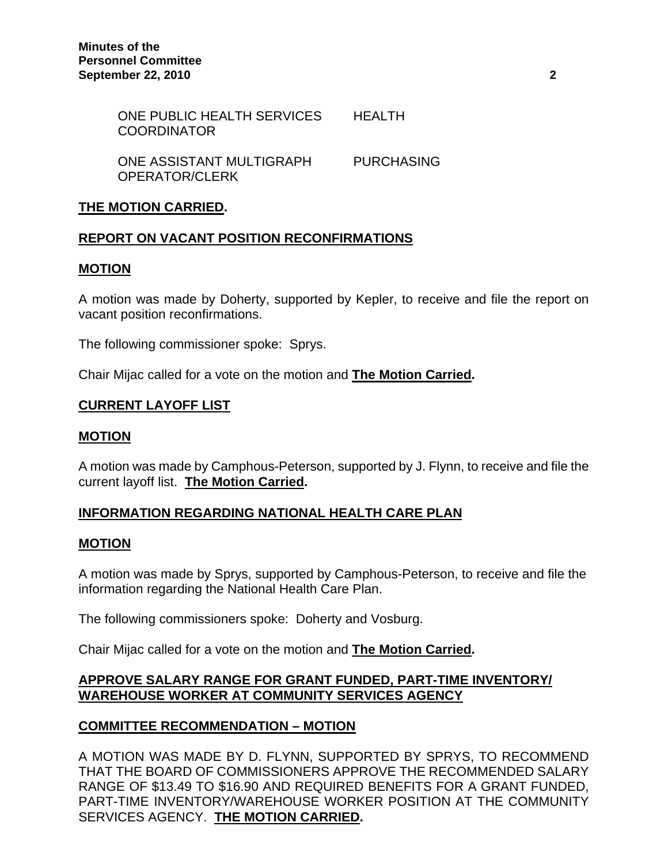| ONE PUBLIC HEALTH SERVICES<br><b>COORDINATOR</b> | HFAI TH           |
|--------------------------------------------------|-------------------|
| ONE ASSISTANT MULTIGRAPH<br>OPERATOR/CLERK       | <b>PURCHASING</b> |

### **THE MOTION CARRIED.**

#### **REPORT ON VACANT POSITION RECONFIRMATIONS**

#### **MOTION**

A motion was made by Doherty, supported by Kepler, to receive and file the report on vacant position reconfirmations.

The following commissioner spoke: Sprys.

Chair Mijac called for a vote on the motion and **The Motion Carried.** 

#### **CURRENT LAYOFF LIST**

#### **MOTION**

A motion was made by Camphous-Peterson, supported by J. Flynn, to receive and file the current layoff list. **The Motion Carried.** 

#### **INFORMATION REGARDING NATIONAL HEALTH CARE PLAN**

#### **MOTION**

A motion was made by Sprys, supported by Camphous-Peterson, to receive and file the information regarding the National Health Care Plan.

The following commissioners spoke: Doherty and Vosburg.

Chair Mijac called for a vote on the motion and **The Motion Carried.** 

## **APPROVE SALARY RANGE FOR GRANT FUNDED, PART-TIME INVENTORY/ WAREHOUSE WORKER AT COMMUNITY SERVICES AGENCY**

#### **COMMITTEE RECOMMENDATION – MOTION**

A MOTION WAS MADE BY D. FLYNN, SUPPORTED BY SPRYS, TO RECOMMEND THAT THE BOARD OF COMMISSIONERS APPROVE THE RECOMMENDED SALARY RANGE OF \$13.49 TO \$16.90 AND REQUIRED BENEFITS FOR A GRANT FUNDED, PART-TIME INVENTORY/WAREHOUSE WORKER POSITION AT THE COMMUNITY SERVICES AGENCY. **THE MOTION CARRIED.**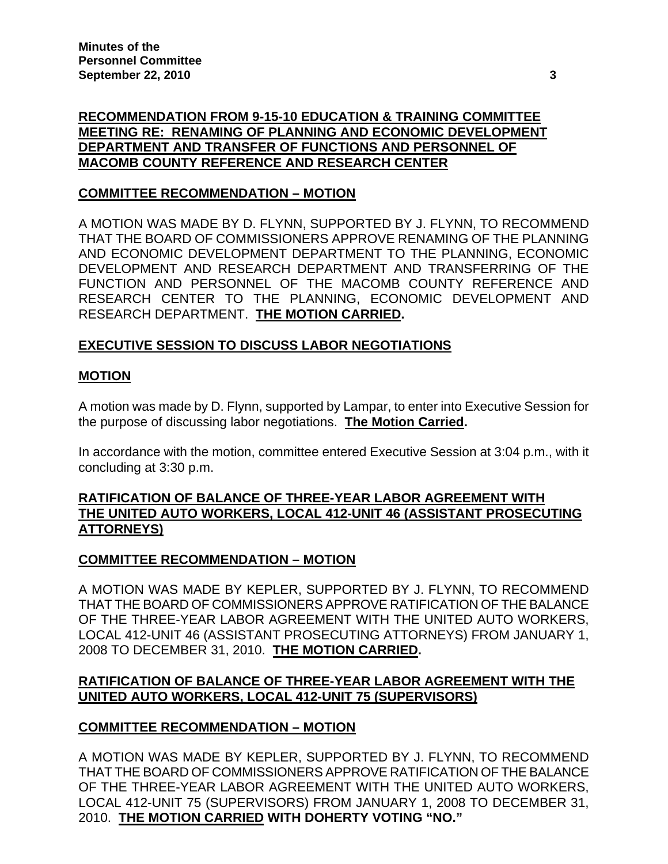# **RECOMMENDATION FROM 9-15-10 EDUCATION & TRAINING COMMITTEE MEETING RE: RENAMING OF PLANNING AND ECONOMIC DEVELOPMENT DEPARTMENT AND TRANSFER OF FUNCTIONS AND PERSONNEL OF MACOMB COUNTY REFERENCE AND RESEARCH CENTER**

# **COMMITTEE RECOMMENDATION – MOTION**

A MOTION WAS MADE BY D. FLYNN, SUPPORTED BY J. FLYNN, TO RECOMMEND THAT THE BOARD OF COMMISSIONERS APPROVE RENAMING OF THE PLANNING AND ECONOMIC DEVELOPMENT DEPARTMENT TO THE PLANNING, ECONOMIC DEVELOPMENT AND RESEARCH DEPARTMENT AND TRANSFERRING OF THE FUNCTION AND PERSONNEL OF THE MACOMB COUNTY REFERENCE AND RESEARCH CENTER TO THE PLANNING, ECONOMIC DEVELOPMENT AND RESEARCH DEPARTMENT. **THE MOTION CARRIED.** 

## **EXECUTIVE SESSION TO DISCUSS LABOR NEGOTIATIONS**

#### **MOTION**

A motion was made by D. Flynn, supported by Lampar, to enter into Executive Session for the purpose of discussing labor negotiations. **The Motion Carried.** 

In accordance with the motion, committee entered Executive Session at 3:04 p.m., with it concluding at 3:30 p.m.

#### **RATIFICATION OF BALANCE OF THREE-YEAR LABOR AGREEMENT WITH THE UNITED AUTO WORKERS, LOCAL 412-UNIT 46 (ASSISTANT PROSECUTING ATTORNEYS)**

#### **COMMITTEE RECOMMENDATION – MOTION**

A MOTION WAS MADE BY KEPLER, SUPPORTED BY J. FLYNN, TO RECOMMEND THAT THE BOARD OF COMMISSIONERS APPROVE RATIFICATION OF THE BALANCE OF THE THREE-YEAR LABOR AGREEMENT WITH THE UNITED AUTO WORKERS, LOCAL 412-UNIT 46 (ASSISTANT PROSECUTING ATTORNEYS) FROM JANUARY 1, 2008 TO DECEMBER 31, 2010. **THE MOTION CARRIED.** 

## **RATIFICATION OF BALANCE OF THREE-YEAR LABOR AGREEMENT WITH THE UNITED AUTO WORKERS, LOCAL 412-UNIT 75 (SUPERVISORS)**

#### **COMMITTEE RECOMMENDATION – MOTION**

A MOTION WAS MADE BY KEPLER, SUPPORTED BY J. FLYNN, TO RECOMMEND THAT THE BOARD OF COMMISSIONERS APPROVE RATIFICATION OF THE BALANCE OF THE THREE-YEAR LABOR AGREEMENT WITH THE UNITED AUTO WORKERS, LOCAL 412-UNIT 75 (SUPERVISORS) FROM JANUARY 1, 2008 TO DECEMBER 31, 2010. **THE MOTION CARRIED WITH DOHERTY VOTING "NO."**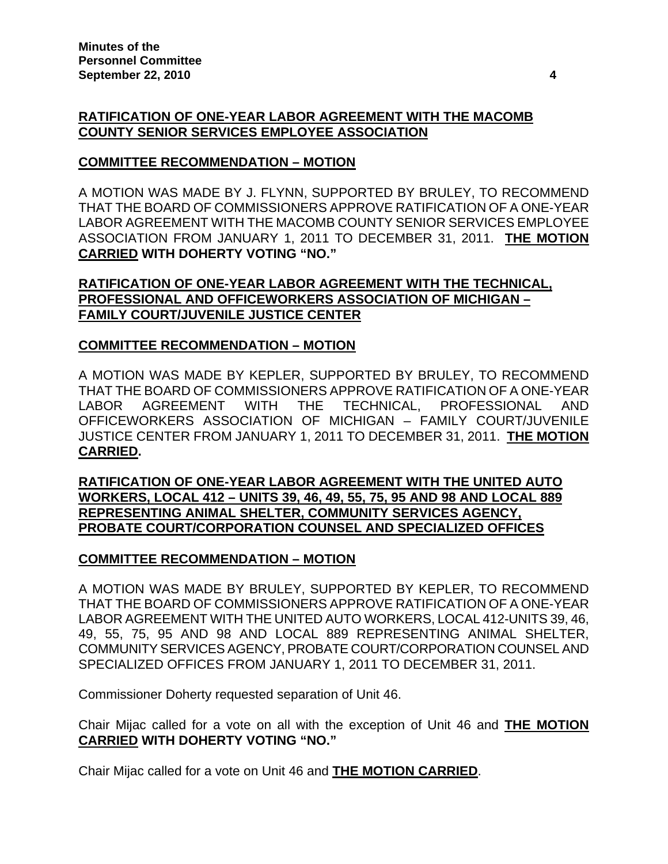### **RATIFICATION OF ONE-YEAR LABOR AGREEMENT WITH THE MACOMB COUNTY SENIOR SERVICES EMPLOYEE ASSOCIATION**

### **COMMITTEE RECOMMENDATION – MOTION**

A MOTION WAS MADE BY J. FLYNN, SUPPORTED BY BRULEY, TO RECOMMEND THAT THE BOARD OF COMMISSIONERS APPROVE RATIFICATION OF A ONE-YEAR LABOR AGREEMENT WITH THE MACOMB COUNTY SENIOR SERVICES EMPLOYEE ASSOCIATION FROM JANUARY 1, 2011 TO DECEMBER 31, 2011. **THE MOTION CARRIED WITH DOHERTY VOTING "NO."** 

### **RATIFICATION OF ONE-YEAR LABOR AGREEMENT WITH THE TECHNICAL, PROFESSIONAL AND OFFICEWORKERS ASSOCIATION OF MICHIGAN – FAMILY COURT/JUVENILE JUSTICE CENTER**

## **COMMITTEE RECOMMENDATION – MOTION**

A MOTION WAS MADE BY KEPLER, SUPPORTED BY BRULEY, TO RECOMMEND THAT THE BOARD OF COMMISSIONERS APPROVE RATIFICATION OF A ONE-YEAR LABOR AGREEMENT WITH THE TECHNICAL, PROFESSIONAL AND OFFICEWORKERS ASSOCIATION OF MICHIGAN – FAMILY COURT/JUVENILE JUSTICE CENTER FROM JANUARY 1, 2011 TO DECEMBER 31, 2011. **THE MOTION CARRIED.** 

**RATIFICATION OF ONE-YEAR LABOR AGREEMENT WITH THE UNITED AUTO WORKERS, LOCAL 412 – UNITS 39, 46, 49, 55, 75, 95 AND 98 AND LOCAL 889 REPRESENTING ANIMAL SHELTER, COMMUNITY SERVICES AGENCY, PROBATE COURT/CORPORATION COUNSEL AND SPECIALIZED OFFICES**

#### **COMMITTEE RECOMMENDATION – MOTION**

A MOTION WAS MADE BY BRULEY, SUPPORTED BY KEPLER, TO RECOMMEND THAT THE BOARD OF COMMISSIONERS APPROVE RATIFICATION OF A ONE-YEAR LABOR AGREEMENT WITH THE UNITED AUTO WORKERS, LOCAL 412-UNITS 39, 46, 49, 55, 75, 95 AND 98 AND LOCAL 889 REPRESENTING ANIMAL SHELTER, COMMUNITY SERVICES AGENCY, PROBATE COURT/CORPORATION COUNSEL AND SPECIALIZED OFFICES FROM JANUARY 1, 2011 TO DECEMBER 31, 2011.

Commissioner Doherty requested separation of Unit 46.

Chair Mijac called for a vote on all with the exception of Unit 46 and **THE MOTION CARRIED WITH DOHERTY VOTING "NO."** 

Chair Mijac called for a vote on Unit 46 and **THE MOTION CARRIED**.